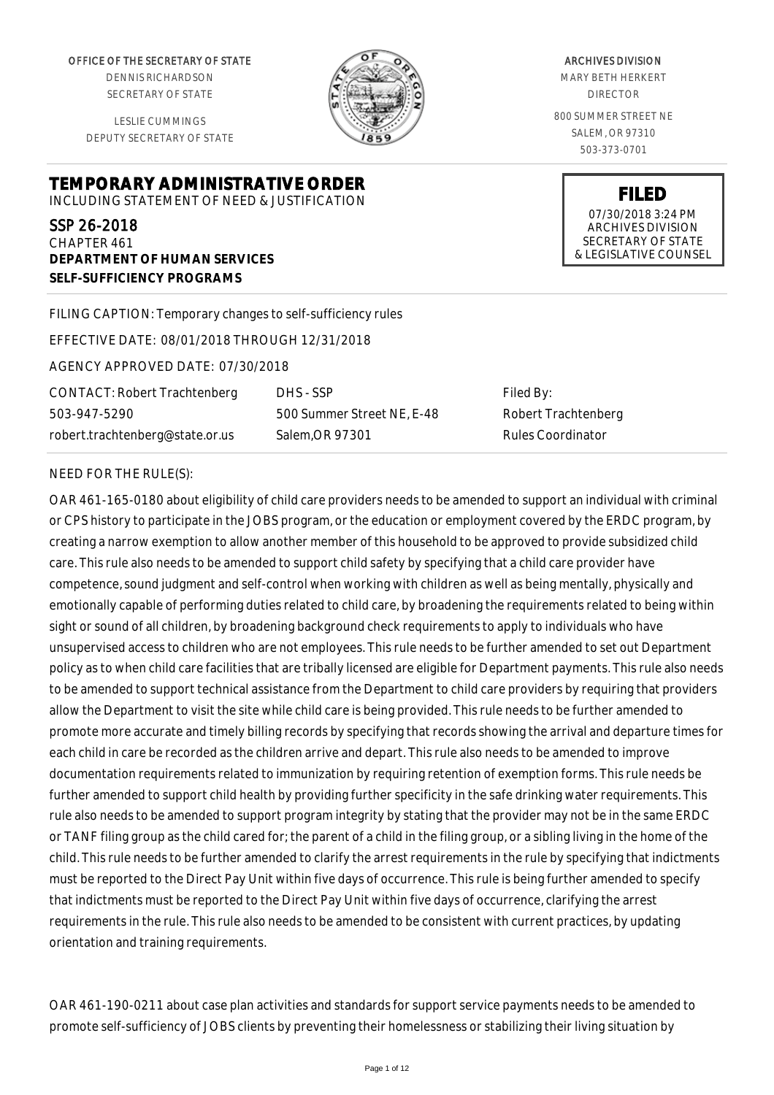OFFICE OF THE SECRETARY OF STATE

DENNIS RICHARDSON SECRETARY OF STATE

LESLIE CUMMINGS DEPUTY SECRETARY OF STATE

**DEPARTMENT OF HUMAN SERVICES**

**SELF-SUFFICIENCY PROGRAMS**



ARCHIVES DIVISION

MARY BETH HERKERT DIRECTOR

800 SUMMER STREET NE SALEM, OR 97310 503-373-0701

> **FILED** 07/30/2018 3:24 PM ARCHIVES DIVISION SECRETARY OF STATE & LEGISLATIVE COUNSEL

FILING CAPTION: Temporary changes to self-sufficiency rules

EFFECTIVE DATE: 08/01/2018 THROUGH 12/31/2018

**TEMPORARY ADMINISTRATIVE ORDER** INCLUDING STATEMENT OF NEED & JUSTIFICATION

AGENCY APPROVED DATE: 07/30/2018

CONTACT: Robert Trachtenberg 503-947-5290 robert.trachtenberg@state.or.us

DHS - SSP 500 Summer Street NE, E-48 Salem,OR 97301

Filed By: Robert Trachtenberg Rules Coordinator

#### NEED FOR THE RULE(S):

SSP 26-2018 CHAPTER 461

OAR 461-165-0180 about eligibility of child care providers needs to be amended to support an individual with criminal or CPS history to participate in the JOBS program, or the education or employment covered by the ERDC program, by creating a narrow exemption to allow another member of this household to be approved to provide subsidized child care. This rule also needs to be amended to support child safety by specifying that a child care provider have competence, sound judgment and self-control when working with children as well as being mentally, physically and emotionally capable of performing duties related to child care, by broadening the requirements related to being within sight or sound of all children, by broadening background check requirements to apply to individuals who have unsupervised access to children who are not employees. This rule needs to be further amended to set out Department policy as to when child care facilities that are tribally licensed are eligible for Department payments. This rule also needs to be amended to support technical assistance from the Department to child care providers by requiring that providers allow the Department to visit the site while child care is being provided. This rule needs to be further amended to promote more accurate and timely billing records by specifying that records showing the arrival and departure times for each child in care be recorded as the children arrive and depart. This rule also needs to be amended to improve documentation requirements related to immunization by requiring retention of exemption forms. This rule needs be further amended to support child health by providing further specificity in the safe drinking water requirements. This rule also needs to be amended to support program integrity by stating that the provider may not be in the same ERDC or TANF filing group as the child cared for; the parent of a child in the filing group, or a sibling living in the home of the child. This rule needs to be further amended to clarify the arrest requirements in the rule by specifying that indictments must be reported to the Direct Pay Unit within five days of occurrence. This rule is being further amended to specify that indictments must be reported to the Direct Pay Unit within five days of occurrence, clarifying the arrest requirements in the rule. This rule also needs to be amended to be consistent with current practices, by updating orientation and training requirements.

OAR 461-190-0211 about case plan activities and standards for support service payments needs to be amended to promote self-sufficiency of JOBS clients by preventing their homelessness or stabilizing their living situation by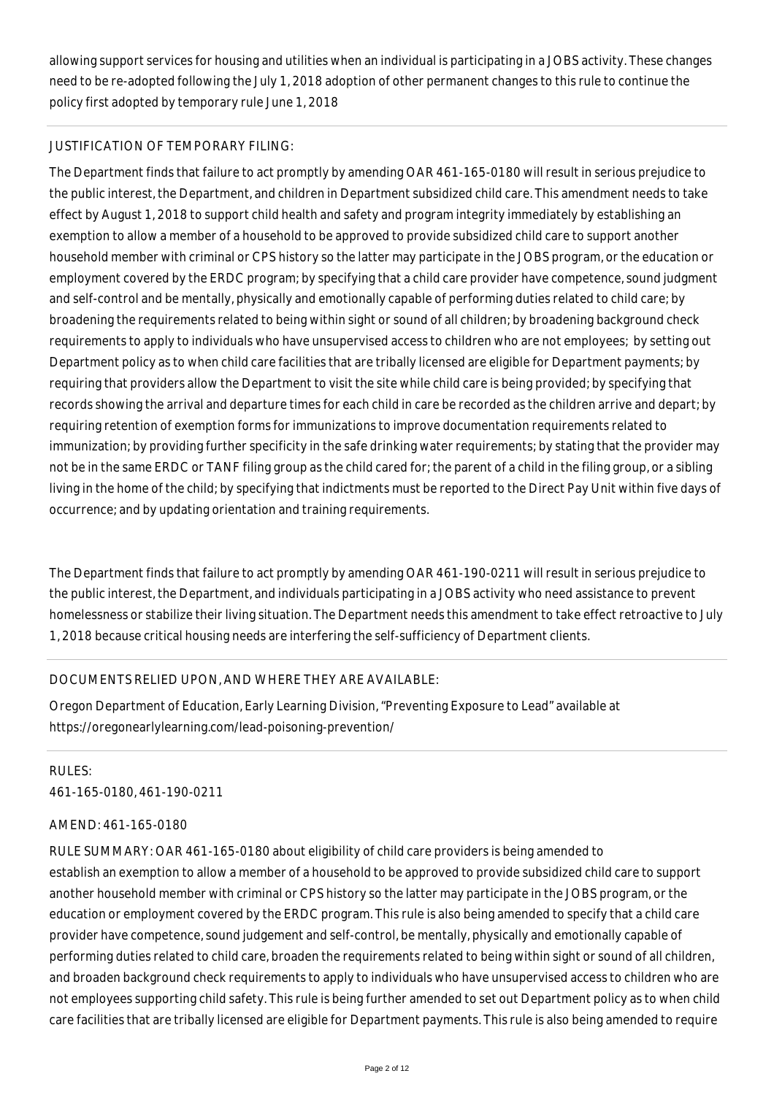allowing support services for housing and utilities when an individual is participating in a JOBS activity. These changes need to be re-adopted following the July 1, 2018 adoption of other permanent changes to this rule to continue the policy first adopted by temporary rule June 1, 2018

## JUSTIFICATION OF TEMPORARY FILING:

The Department finds that failure to act promptly by amending OAR 461-165-0180 will result in serious prejudice to the public interest, the Department, and children in Department subsidized child care. This amendment needs to take effect by August 1, 2018 to support child health and safety and program integrity immediately by establishing an exemption to allow a member of a household to be approved to provide subsidized child care to support another household member with criminal or CPS history so the latter may participate in the JOBS program, or the education or employment covered by the ERDC program; by specifying that a child care provider have competence, sound judgment and self-control and be mentally, physically and emotionally capable of performing duties related to child care; by broadening the requirements related to being within sight or sound of all children; by broadening background check requirements to apply to individuals who have unsupervised access to children who are not employees; by setting out Department policy as to when child care facilities that are tribally licensed are eligible for Department payments; by requiring that providers allow the Department to visit the site while child care is being provided; by specifying that records showing the arrival and departure times for each child in care be recorded as the children arrive and depart; by requiring retention of exemption forms for immunizations to improve documentation requirements related to immunization; by providing further specificity in the safe drinking water requirements; by stating that the provider may not be in the same ERDC or TANF filing group as the child cared for; the parent of a child in the filing group, or a sibling living in the home of the child; by specifying that indictments must be reported to the Direct Pay Unit within five days of occurrence; and by updating orientation and training requirements.

The Department finds that failure to act promptly by amending OAR 461-190-0211 will result in serious prejudice to the public interest, the Department, and individuals participating in a JOBS activity who need assistance to prevent homelessness or stabilize their living situation. The Department needs this amendment to take effect retroactive to July 1, 2018 because critical housing needs are interfering the self-sufficiency of Department clients.

## DOCUMENTS RELIED UPON, AND WHERE THEY ARE AVAILABLE:

Oregon Department of Education, Early Learning Division, "Preventing Exposure to Lead" available at https://oregonearlylearning.com/lead-poisoning-prevention/

RULES: 461-165-0180, 461-190-0211

## AMEND: 461-165-0180

RULE SUMMARY: OAR 461-165-0180 about eligibility of child care providers is being amended to establish an exemption to allow a member of a household to be approved to provide subsidized child care to support another household member with criminal or CPS history so the latter may participate in the JOBS program, or the education or employment covered by the ERDC program. This rule is also being amended to specify that a child care provider have competence, sound judgement and self-control, be mentally, physically and emotionally capable of performing duties related to child care, broaden the requirements related to being within sight or sound of all children, and broaden background check requirements to apply to individuals who have unsupervised access to children who are not employees supporting child safety. This rule is being further amended to set out Department policy as to when child care facilities that are tribally licensed are eligible for Department payments. This rule is also being amended to require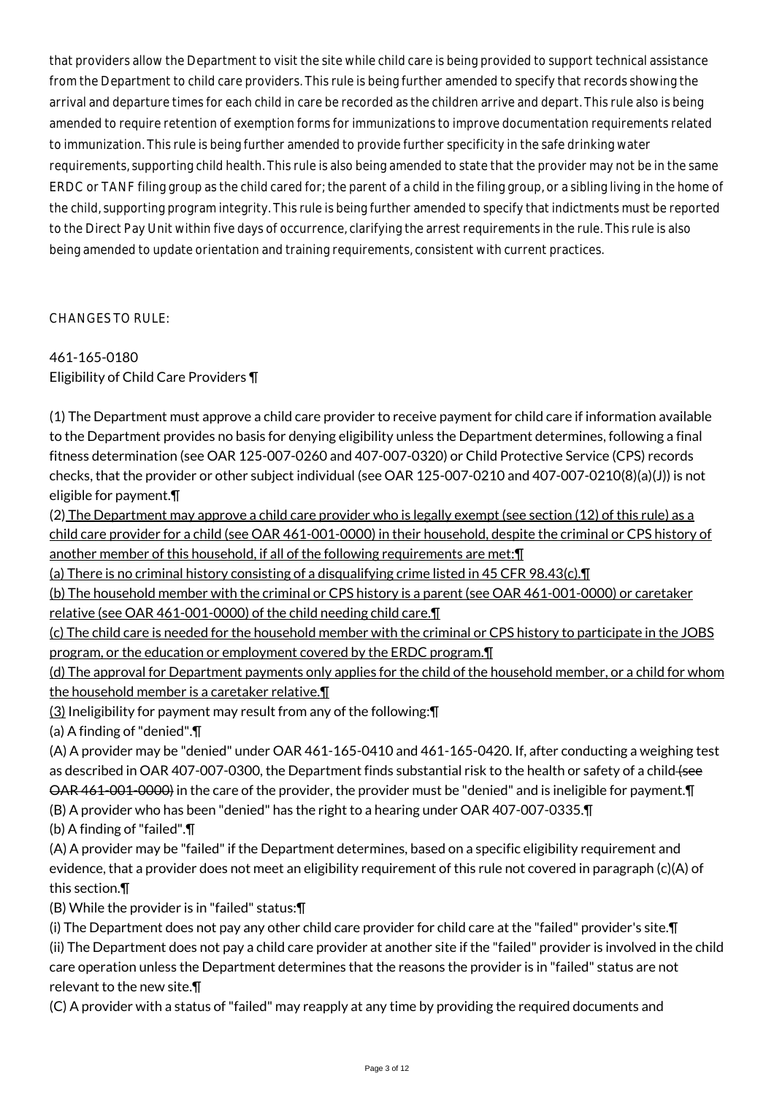that providers allow the Department to visit the site while child care is being provided to support technical assistance from the Department to child care providers. This rule is being further amended to specify that records showing the arrival and departure times for each child in care be recorded as the children arrive and depart. This rule also is being amended to require retention of exemption forms for immunizations to improve documentation requirements related to immunization. This rule is being further amended to provide further specificity in the safe drinking water requirements, supporting child health. This rule is also being amended to state that the provider may not be in the same ERDC or TANF filing group as the child cared for; the parent of a child in the filing group, or a sibling living in the home of the child, supporting program integrity. This rule is being further amended to specify that indictments must be reported to the Direct Pay Unit within five days of occurrence, clarifying the arrest requirements in the rule. This rule is also being amended to update orientation and training requirements, consistent with current practices.

CHANGES TO RULE:

461-165-0180 Eligibility of Child Care Providers ¶

(1) The Department must approve a child care provider to receive payment for child care if information available to the Department provides no basis for denying eligibility unless the Department determines, following a final fitness determination (see OAR 125-007-0260 and 407-007-0320) or Child Protective Service (CPS) records checks, that the provider or other subject individual (see OAR 125-007-0210 and 407-007-0210(8)(a)(J)) is not eligible for payment.¶

(2) The Department may approve a child care provider who is legally exempt (see section (12) of this rule) as a child care provider for a child (see OAR 461-001-0000) in their household, despite the criminal or CPS history of another member of this household, if all of the following requirements are met:¶

(a) There is no criminal history consisting of a disqualifying crime listed in 45 CFR 98.43(c).¶

(b) The household member with the criminal or CPS history is a parent (see OAR 461-001-0000) or caretaker relative (see OAR 461-001-0000) of the child needing child care.¶

(c) The child care is needed for the household member with the criminal or CPS history to participate in the JOBS program, or the education or employment covered by the ERDC program.¶

(d) The approval for Department payments only applies for the child of the household member, or a child for whom the household member is a caretaker relative.¶

(3) Ineligibility for payment may result from any of the following:¶

(a) A finding of "denied".¶

(A) A provider may be "denied" under OAR 461-165-0410 and 461-165-0420. If, after conducting a weighing test as described in OAR 407-007-0300, the Department finds substantial risk to the health or safety of a child (see OAR 461-001-0000) in the care of the provider, the provider must be "denied" and is ineligible for payment.¶ (B) A provider who has been "denied" has the right to a hearing under OAR 407-007-0335.¶

(b) A finding of "failed".¶

(A) A provider may be "failed" if the Department determines, based on a specific eligibility requirement and evidence, that a provider does not meet an eligibility requirement of this rule not covered in paragraph (c)(A) of this section.¶

(B) While the provider is in "failed" status:¶

(i) The Department does not pay any other child care provider for child care at the "failed" provider's site.¶ (ii) The Department does not pay a child care provider at another site if the "failed" provider is involved in the child care operation unless the Department determines that the reasons the provider is in "failed" status are not relevant to the new site.¶

(C) A provider with a status of "failed" may reapply at any time by providing the required documents and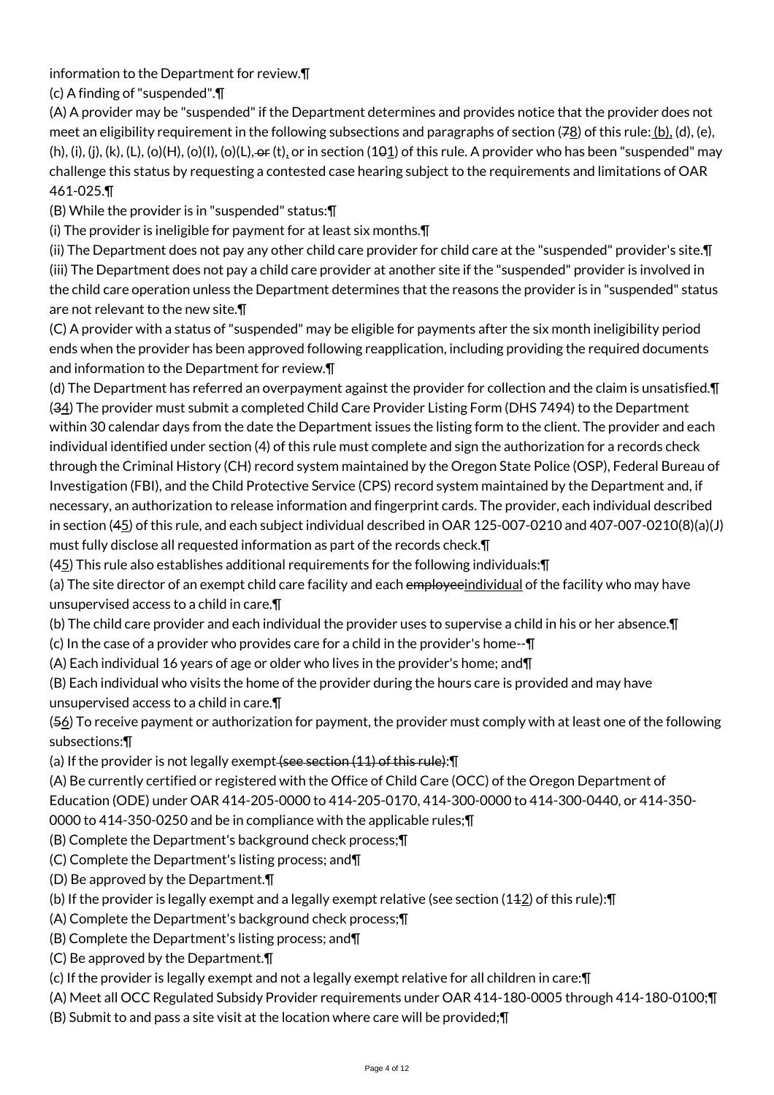information to the Department for review.¶

(c) A finding of "suspended".¶

(A) A provider may be "suspended" if the Department determines and provides notice that the provider does not meet an eligibility requirement in the following subsections and paragraphs of section (7<u>8</u>) of this rule: <u>(b),</u> (d), (e),  $(h)$ , (i), (i), (k), (L), (o)(H), (o)(l), (o)(L),  $\Theta$  (t), or in section (101) of this rule. A provider who has been "suspended" may challenge this status by requesting a contested case hearing subject to the requirements and limitations of OAR 461-025.¶

(B) While the provider is in "suspended" status:¶

(i) The provider is ineligible for payment for at least six months.¶

(ii) The Department does not pay any other child care provider for child care at the "suspended" provider's site.¶ (iii) The Department does not pay a child care provider at another site if the "suspended" provider is involved in the child care operation unless the Department determines that the reasons the provider is in "suspended" status are not relevant to the new site.¶

(C) A provider with a status of "suspended" may be eligible for payments after the six month ineligibility period ends when the provider has been approved following reapplication, including providing the required documents and information to the Department for review.¶

(d) The Department has referred an overpayment against the provider for collection and the claim is unsatisfied.¶ (34) The provider must submit a completed Child Care Provider Listing Form (DHS 7494) to the Department within 30 calendar days from the date the Department issues the listing form to the client. The provider and each individual identified under section (4) of this rule must complete and sign the authorization for a records check through the Criminal History (CH) record system maintained by the Oregon State Police (OSP), Federal Bureau of Investigation (FBI), and the Child Protective Service (CPS) record system maintained by the Department and, if necessary, an authorization to release information and fingerprint cards. The provider, each individual described in section (45) of this rule, and each subject individual described in OAR 125-007-0210 and 407-007-0210(8)(a)(J) must fully disclose all requested information as part of the records check.¶

(45) This rule also establishes additional requirements for the following individuals:¶

(a) The site director of an exempt child care facility and each employeeindividual of the facility who may have unsupervised access to a child in care.¶

(b) The child care provider and each individual the provider uses to supervise a child in his or her absence.¶

(c) In the case of a provider who provides care for a child in the provider's home--¶

(A) Each individual 16 years of age or older who lives in the provider's home; and¶

(B) Each individual who visits the home of the provider during the hours care is provided and may have unsupervised access to a child in care.¶

(56) To receive payment or authorization for payment, the provider must comply with at least one of the following subsections:¶

(a) If the provider is not legally exempt  $\overline{f}$  section  $(11)$  of this rule):  $\P$ 

(A) Be currently certified or registered with the Office of Child Care (OCC) of the Oregon Department of Education (ODE) under OAR 414-205-0000 to 414-205-0170, 414-300-0000 to 414-300-0440, or 414-350-

0000 to 414-350-0250 and be in compliance with the applicable rules;¶

(B) Complete the Department's background check process;¶

(C) Complete the Department's listing process; and¶

(D) Be approved by the Department.¶

(b) If the provider is legally exempt and a legally exempt relative (see section (112) of this rule):¶

- (A) Complete the Department's background check process;¶
- (B) Complete the Department's listing process; and¶
- (C) Be approved by the Department.¶

(c) If the provider is legally exempt and not a legally exempt relative for all children in care:¶

(A) Meet all OCC Regulated Subsidy Provider requirements under OAR 414-180-0005 through 414-180-0100;¶

(B) Submit to and pass a site visit at the location where care will be provided;¶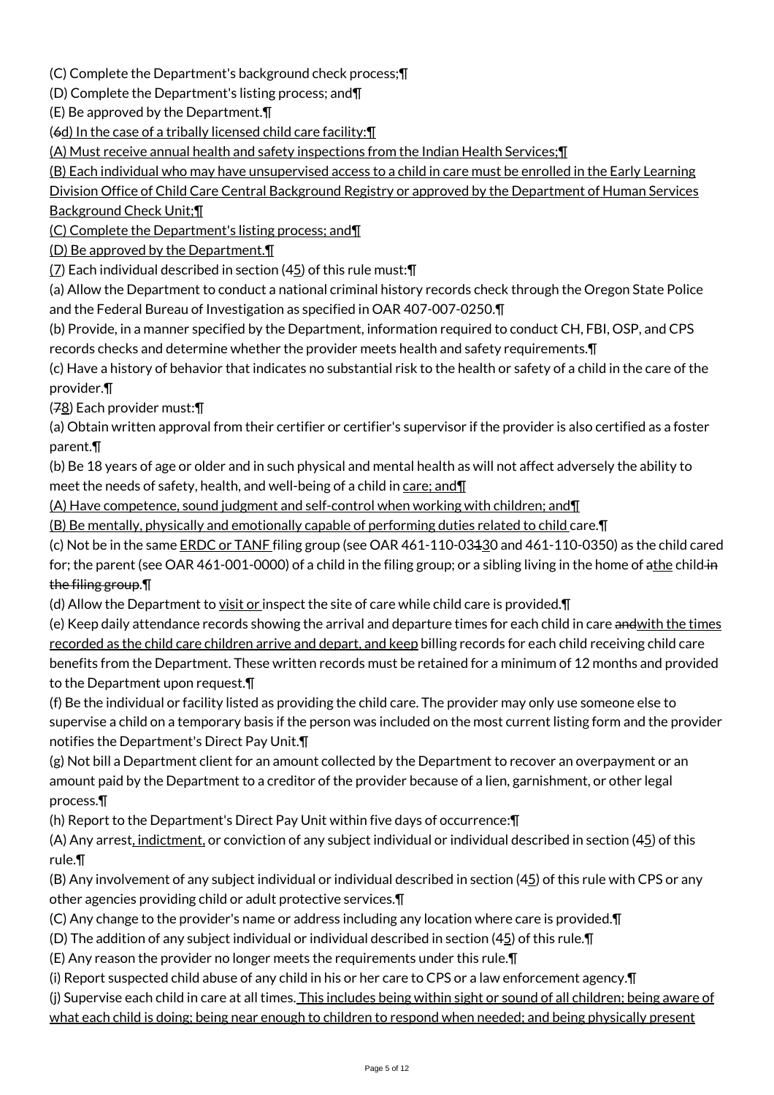(C) Complete the Department's background check process;¶

(D) Complete the Department's listing process; and¶

(E) Be approved by the Department.¶

(6d) In the case of a tribally licensed child care facility:¶

(A) Must receive annual health and safety inspections from the Indian Health Services;¶

(B) Each individual who may have unsupervised access to a child in care must be enrolled in the Early Learning

Division Office of Child Care Central Background Registry or approved by the Department of Human Services Background Check Unit;¶

(C) Complete the Department's listing process; and¶

(D) Be approved by the Department.¶

 $(7)$  Each individual described in section (45) of this rule must: $\P$ 

(a) Allow the Department to conduct a national criminal history records check through the Oregon State Police and the Federal Bureau of Investigation as specified in OAR 407-007-0250.¶

(b) Provide, in a manner specified by the Department, information required to conduct CH, FBI, OSP, and CPS records checks and determine whether the provider meets health and safety requirements.¶

(c) Have a history of behavior that indicates no substantial risk to the health or safety of a child in the care of the provider.¶

(78) Each provider must:¶

(a) Obtain written approval from their certifier or certifier's supervisor if the provider is also certified as a foster parent.¶

(b) Be 18 years of age or older and in such physical and mental health as will not affect adversely the ability to meet the needs of safety, health, and well-being of a child in care; and  $\P$ 

(A) Have competence, sound judgment and self-control when working with children; and¶

(B) Be mentally, physically and emotionally capable of performing duties related to child care.¶

(c) Not be in the same ERDC or TANF filing group (see OAR 461-110-03130 and 461-110-0350) as the child cared

for; the parent (see OAR 461-001-0000) of a child in the filing group; or a sibling living in the home of athe child in the filing group.¶

(d) Allow the Department to  $visit$  or</u> inspect the site of care while child care is provided. $\P$ 

(e) Keep daily attendance records showing the arrival and departure times for each child in care and with the times recorded as the child care children arrive and depart, and keep billing records for each child receiving child care benefits from the Department. These written records must be retained for a minimum of 12 months and provided to the Department upon request.¶

(f) Be the individual or facility listed as providing the child care. The provider may only use someone else to supervise a child on a temporary basis if the person was included on the most current listing form and the provider notifies the Department's Direct Pay Unit.¶

(g) Not bill a Department client for an amount collected by the Department to recover an overpayment or an amount paid by the Department to a creditor of the provider because of a lien, garnishment, or other legal process.¶

(h) Report to the Department's Direct Pay Unit within five days of occurrence:¶

(A) Any arrest, indictment, or conviction of any subject individual or individual described in section (45) of this rule.¶

(B) Any involvement of any subject individual or individual described in section  $(45)$  of this rule with CPS or any other agencies providing child or adult protective services.¶

(C) Any change to the provider's name or address including any location where care is provided.¶

(D) The addition of any subject individual or individual described in section (45) of this rule.¶

(E) Any reason the provider no longer meets the requirements under this rule.¶

(i) Report suspected child abuse of any child in his or her care to CPS or a law enforcement agency.¶

(j) Supervise each child in care at all times. This includes being within sight or sound of all children; being aware of what each child is doing; being near enough to children to respond when needed; and being physically present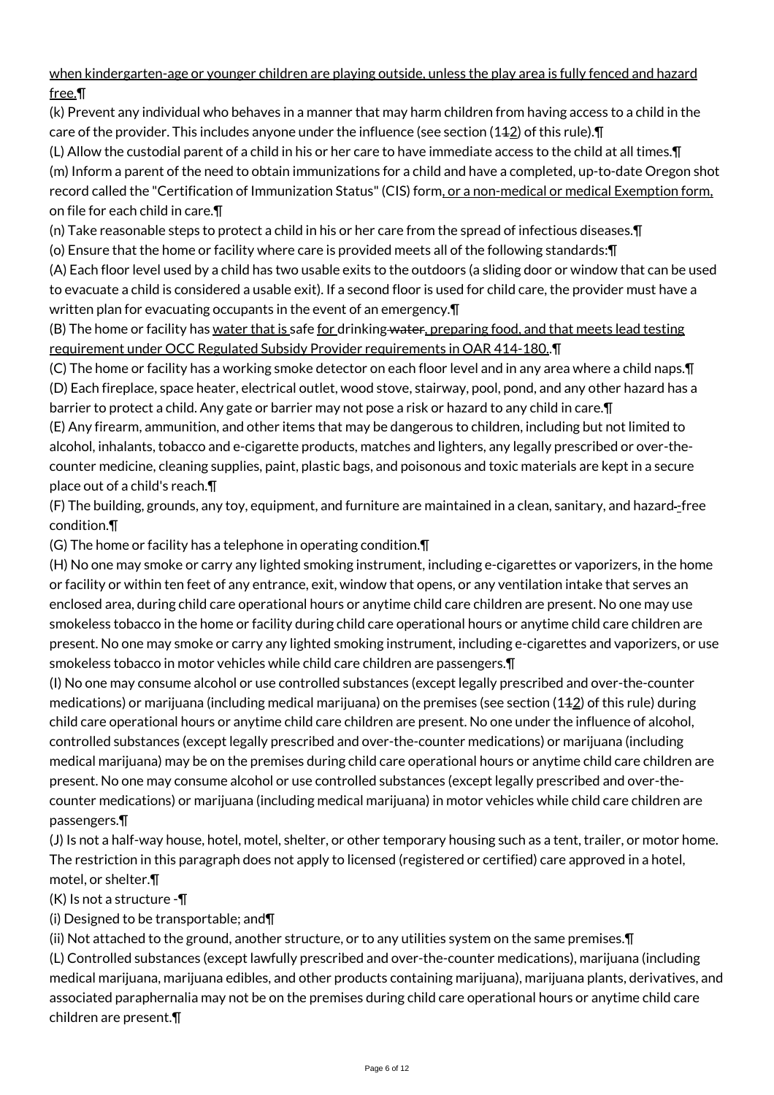when kindergarten-age or younger children are playing outside, unless the play area is fully fenced and hazard free.¶

(k) Prevent any individual who behaves in a manner that may harm children from having access to a child in the care of the provider. This includes anyone under the influence (see section  $(142)$  of this rule).

(L) Allow the custodial parent of a child in his or her care to have immediate access to the child at all times.¶ (m) Inform a parent of the need to obtain immunizations for a child and have a completed, up-to-date Oregon shot record called the "Certification of Immunization Status" (CIS) form, or a non-medical or medical Exemption form, on file for each child in care.¶

(n) Take reasonable steps to protect a child in his or her care from the spread of infectious diseases.¶

(o) Ensure that the home or facility where care is provided meets all of the following standards:¶

(A) Each floor level used by a child has two usable exits to the outdoors (a sliding door or window that can be used to evacuate a child is considered a usable exit). If a second floor is used for child care, the provider must have a written plan for evacuating occupants in the event of an emergency.¶

(B) The home or facility has water that is safe for drinking water, preparing food, and that meets lead testing requirement under OCC Regulated Subsidy Provider requirements in OAR 414-180..¶

(C) The home or facility has a working smoke detector on each floor level and in any area where a child naps.¶ (D) Each fireplace, space heater, electrical outlet, wood stove, stairway, pool, pond, and any other hazard has a barrier to protect a child. Any gate or barrier may not pose a risk or hazard to any child in care.¶

(E) Any firearm, ammunition, and other items that may be dangerous to children, including but not limited to alcohol, inhalants, tobacco and e-cigarette products, matches and lighters, any legally prescribed or over-thecounter medicine, cleaning supplies, paint, plastic bags, and poisonous and toxic materials are kept in a secure place out of a child's reach.¶

(F) The building, grounds, any toy, equipment, and furniture are maintained in a clean, sanitary, and hazard -free condition.¶

(G) The home or facility has a telephone in operating condition.¶

(H) No one may smoke or carry any lighted smoking instrument, including e-cigarettes or vaporizers, in the home or facility or within ten feet of any entrance, exit, window that opens, or any ventilation intake that serves an enclosed area, during child care operational hours or anytime child care children are present. No one may use smokeless tobacco in the home or facility during child care operational hours or anytime child care children are present. No one may smoke or carry any lighted smoking instrument, including e-cigarettes and vaporizers, or use smokeless tobacco in motor vehicles while child care children are passengers.¶

(I) No one may consume alcohol or use controlled substances (except legally prescribed and over-the-counter medications) or marijuana (including medical marijuana) on the premises (see section  $(142)$  of this rule) during child care operational hours or anytime child care children are present. No one under the influence of alcohol, controlled substances (except legally prescribed and over-the-counter medications) or marijuana (including medical marijuana) may be on the premises during child care operational hours or anytime child care children are present. No one may consume alcohol or use controlled substances (except legally prescribed and over-thecounter medications) or marijuana (including medical marijuana) in motor vehicles while child care children are passengers.¶

(J) Is not a half-way house, hotel, motel, shelter, or other temporary housing such as a tent, trailer, or motor home. The restriction in this paragraph does not apply to licensed (registered or certified) care approved in a hotel, motel, or shelter.¶

 $(K)$  Is not a structure - $\P$ 

(i) Designed to be transportable; and¶

(ii) Not attached to the ground, another structure, or to any utilities system on the same premises.¶

(L) Controlled substances (except lawfully prescribed and over-the-counter medications), marijuana (including medical marijuana, marijuana edibles, and other products containing marijuana), marijuana plants, derivatives, and associated paraphernalia may not be on the premises during child care operational hours or anytime child care children are present.¶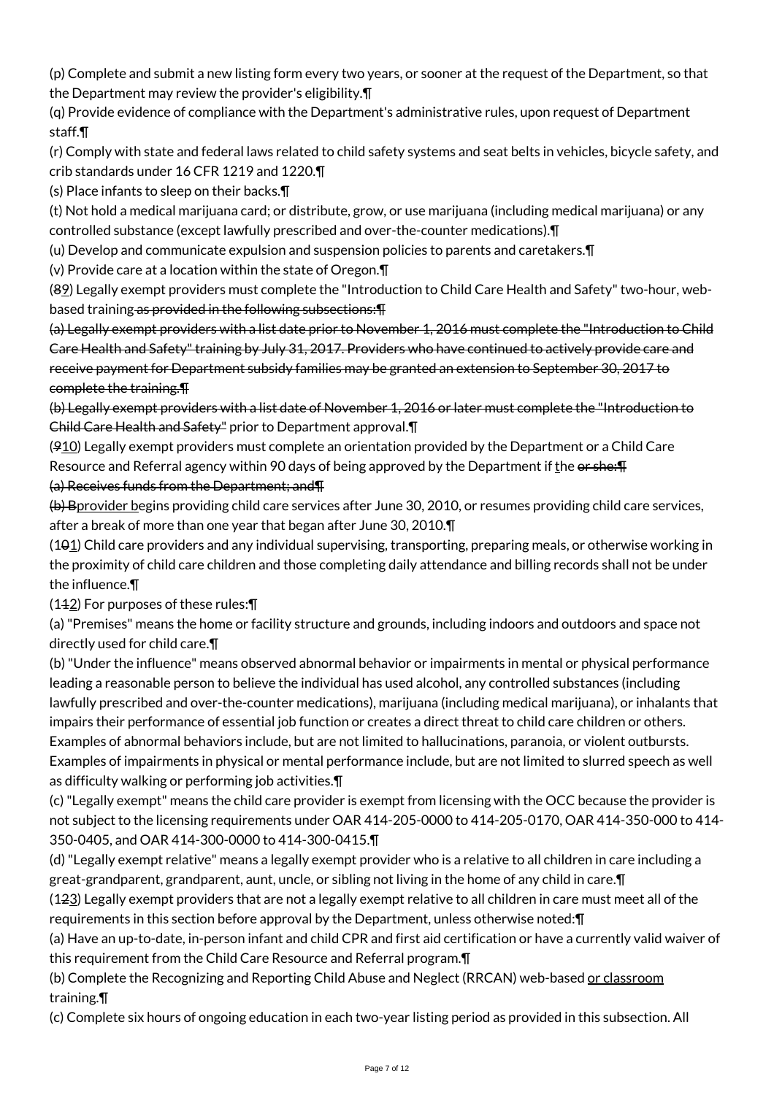(p) Complete and submit a new listing form every two years, or sooner at the request of the Department, so that the Department may review the provider's eligibility.¶

(q) Provide evidence of compliance with the Department's administrative rules, upon request of Department staff.¶

(r) Comply with state and federal laws related to child safety systems and seat belts in vehicles, bicycle safety, and crib standards under 16 CFR 1219 and 1220.¶

(s) Place infants to sleep on their backs.¶

(t) Not hold a medical marijuana card; or distribute, grow, or use marijuana (including medical marijuana) or any controlled substance (except lawfully prescribed and over-the-counter medications).¶

(u) Develop and communicate expulsion and suspension policies to parents and caretakers.¶

(v) Provide care at a location within the state of Oregon.¶

(89) Legally exempt providers must complete the "Introduction to Child Care Health and Safety" two-hour, webbased training as provided in the following subsections:¶

(a) Legally exempt providers with a list date prior to November 1, 2016 must complete the "Introduction to Child Care Health and Safety" training by July 31, 2017. Providers who have continued to actively provide care and receive payment for Department subsidy families may be granted an extension to September 30, 2017 to complete the training.¶

(b) Legally exempt providers with a list date of November 1, 2016 or later must complete the "Introduction to Child Care Health and Safety" prior to Department approval.¶

 $(910)$  Legally exempt providers must complete an orientation provided by the Department or a Child Care Resource and Referral agency within 90 days of being approved by the Department if the or she:  $\overline{F}$ 

## (a) Receives funds from the Department; and¶

(b) Bprovider begins providing child care services after June 30, 2010, or resumes providing child care services, after a break of more than one year that began after June 30, 2010.¶

 $(101)$  Child care providers and any individual supervising, transporting, preparing meals, or otherwise working in the proximity of child care children and those completing daily attendance and billing records shall not be under the influence.¶

 $(142)$  For purposes of these rules: $\P$ 

(a) "Premises" means the home or facility structure and grounds, including indoors and outdoors and space not directly used for child care.¶

(b) "Under the influence" means observed abnormal behavior or impairments in mental or physical performance leading a reasonable person to believe the individual has used alcohol, any controlled substances (including lawfully prescribed and over-the-counter medications), marijuana (including medical marijuana), or inhalants that impairs their performance of essential job function or creates a direct threat to child care children or others. Examples of abnormal behaviors include, but are not limited to hallucinations, paranoia, or violent outbursts. Examples of impairments in physical or mental performance include, but are not limited to slurred speech as well as difficulty walking or performing job activities.¶

(c) "Legally exempt" means the child care provider is exempt from licensing with the OCC because the provider is not subject to the licensing requirements under OAR 414-205-0000 to 414-205-0170, OAR 414-350-000 to 414- 350-0405, and OAR 414-300-0000 to 414-300-0415.¶

(d) "Legally exempt relative" means a legally exempt provider who is a relative to all children in care including a great-grandparent, grandparent, aunt, uncle, or sibling not living in the home of any child in care.¶

(123) Legally exempt providers that are not a legally exempt relative to all children in care must meet all of the requirements in this section before approval by the Department, unless otherwise noted:¶

(a) Have an up-to-date, in-person infant and child CPR and first aid certification or have a currently valid waiver of this requirement from the Child Care Resource and Referral program.¶

(b) Complete the Recognizing and Reporting Child Abuse and Neglect (RRCAN) web-based or classroom training.¶

(c) Complete six hours of ongoing education in each two-year listing period as provided in this subsection. All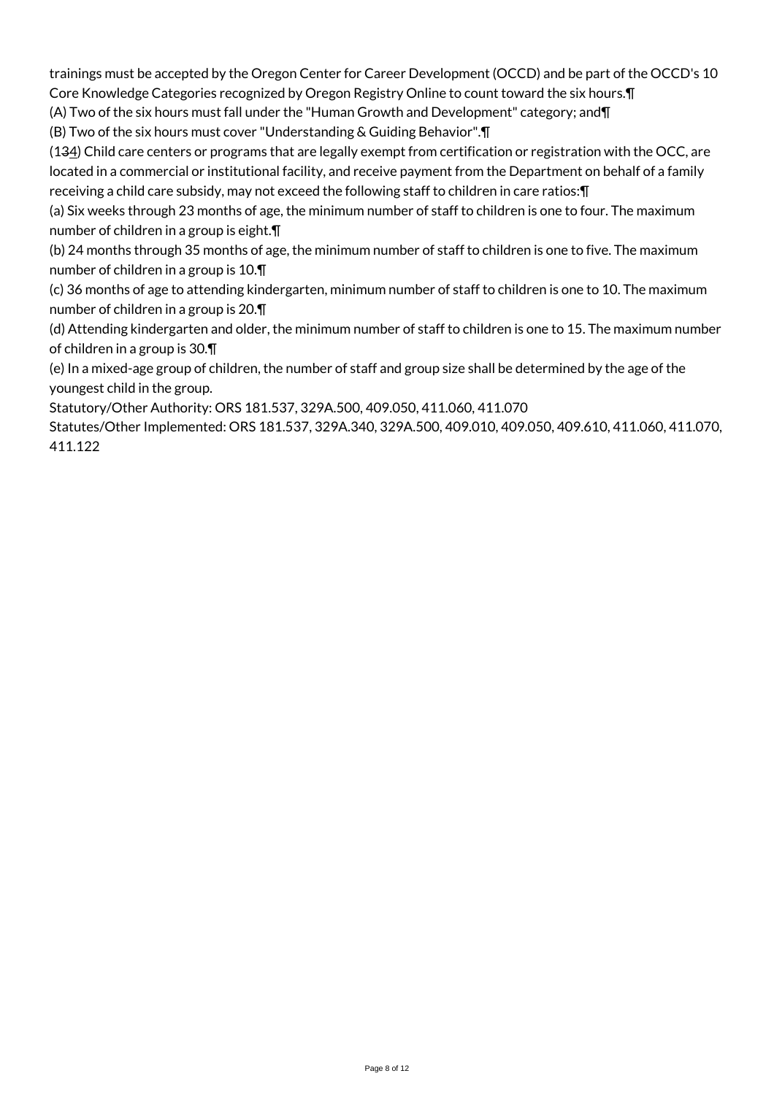trainings must be accepted by the Oregon Center for Career Development (OCCD) and be part of the OCCD's 10 Core Knowledge Categories recognized by Oregon Registry Online to count toward the six hours.¶

(A) Two of the six hours must fall under the "Human Growth and Development" category; and¶

(B) Two of the six hours must cover "Understanding & Guiding Behavior".¶

(134) Child care centers or programs that are legally exempt from certification or registration with the OCC, are located in a commercial or institutional facility, and receive payment from the Department on behalf of a family receiving a child care subsidy, may not exceed the following staff to children in care ratios:¶

(a) Six weeks through 23 months of age, the minimum number of staff to children is one to four. The maximum number of children in a group is eight.¶

(b) 24 months through 35 months of age, the minimum number of staff to children is one to five. The maximum number of children in a group is 10.¶

(c) 36 months of age to attending kindergarten, minimum number of staff to children is one to 10. The maximum number of children in a group is 20.¶

(d) Attending kindergarten and older, the minimum number of staff to children is one to 15. The maximum number of children in a group is 30.¶

(e) In a mixed-age group of children, the number of staff and group size shall be determined by the age of the youngest child in the group.

Statutory/Other Authority: ORS 181.537, 329A.500, 409.050, 411.060, 411.070

Statutes/Other Implemented: ORS 181.537, 329A.340, 329A.500, 409.010, 409.050, 409.610, 411.060, 411.070, 411.122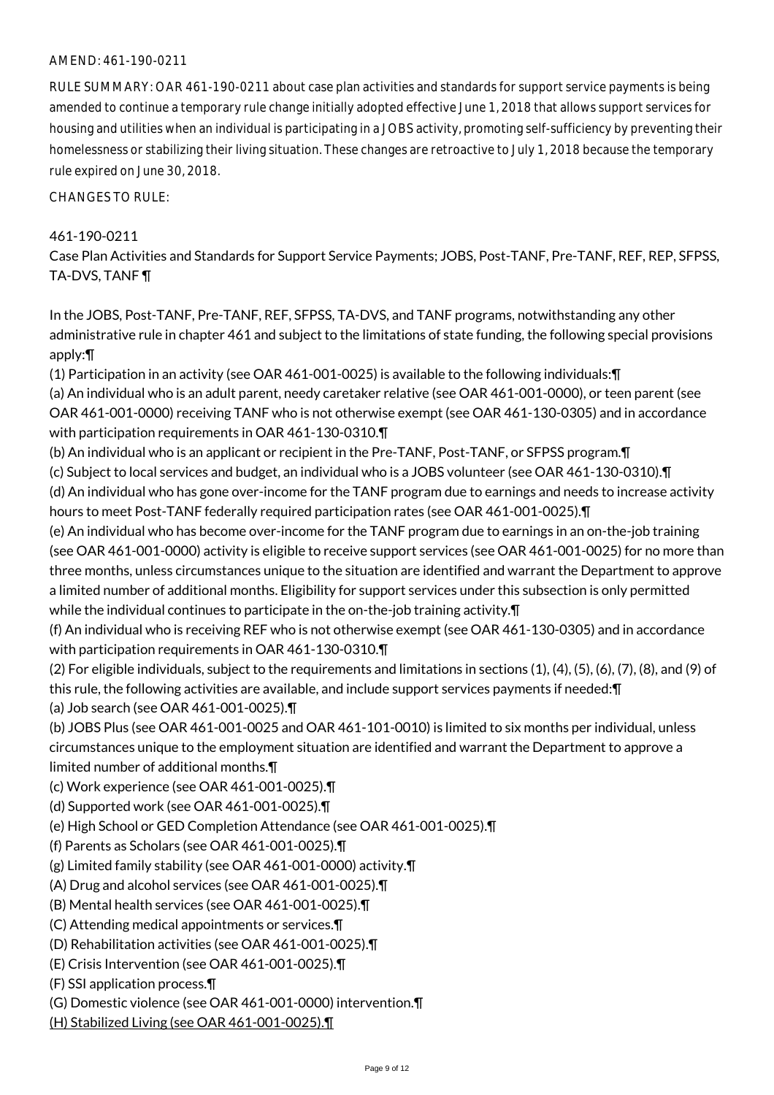#### AMEND: 461-190-0211

RULE SUMMARY: OAR 461-190-0211 about case plan activities and standards for support service payments is being amended to continue a temporary rule change initially adopted effective June 1, 2018 that allows support services for housing and utilities when an individual is participating in a JOBS activity, promoting self-sufficiency by preventing their homelessness or stabilizing their living situation. These changes are retroactive to July 1, 2018 because the temporary rule expired on June 30, 2018.

CHANGES TO RULE:

# 461-190-0211

Case Plan Activities and Standards for Support Service Payments; JOBS, Post-TANF, Pre-TANF, REF, REP, SFPSS, TA-DVS, TANF ¶

In the JOBS, Post-TANF, Pre-TANF, REF, SFPSS, TA-DVS, and TANF programs, notwithstanding any other administrative rule in chapter 461 and subject to the limitations of state funding, the following special provisions apply:¶

(1) Participation in an activity (see OAR 461-001-0025) is available to the following individuals:¶ (a) An individual who is an adult parent, needy caretaker relative (see OAR 461-001-0000), or teen parent (see OAR 461-001-0000) receiving TANF who is not otherwise exempt (see OAR 461-130-0305) and in accordance with participation requirements in OAR 461-130-0310.¶

(b) An individual who is an applicant or recipient in the Pre-TANF, Post-TANF, or SFPSS program.¶ (c) Subject to local services and budget, an individual who is a JOBS volunteer (see OAR 461-130-0310).¶ (d) An individual who has gone over-income for the TANF program due to earnings and needs to increase activity hours to meet Post-TANF federally required participation rates (see OAR 461-001-0025).¶

(e) An individual who has become over-income for the TANF program due to earnings in an on-the-job training (see OAR 461-001-0000) activity is eligible to receive support services (see OAR 461-001-0025) for no more than three months, unless circumstances unique to the situation are identified and warrant the Department to approve a limited number of additional months. Eligibility for support services under this subsection is only permitted while the individual continues to participate in the on-the-job training activity.¶

(f) An individual who is receiving REF who is not otherwise exempt (see OAR 461-130-0305) and in accordance with participation requirements in OAR 461-130-0310.¶

(2) For eligible individuals, subject to the requirements and limitations in sections (1), (4), (5), (6), (7), (8), and (9) of this rule, the following activities are available, and include support services payments if needed:¶ (a) Job search (see OAR 461-001-0025).¶

(b) JOBS Plus (see OAR 461-001-0025 and OAR 461-101-0010) is limited to six months per individual, unless circumstances unique to the employment situation are identified and warrant the Department to approve a limited number of additional months.¶

(c) Work experience (see OAR 461-001-0025).¶

(d) Supported work (see OAR 461-001-0025).¶

(e) High School or GED Completion Attendance (see OAR 461-001-0025).¶

(f) Parents as Scholars (see OAR 461-001-0025).¶

(g) Limited family stability (see OAR 461-001-0000) activity.¶

(A) Drug and alcohol services (see OAR 461-001-0025).¶

(B) Mental health services (see OAR 461-001-0025).¶

(C) Attending medical appointments or services.¶

(D) Rehabilitation activities (see OAR 461-001-0025).¶

(E) Crisis Intervention (see OAR 461-001-0025).¶

(F) SSI application process.¶

(G) Domestic violence (see OAR 461-001-0000) intervention.¶

(H) Stabilized Living (see OAR 461-001-0025).¶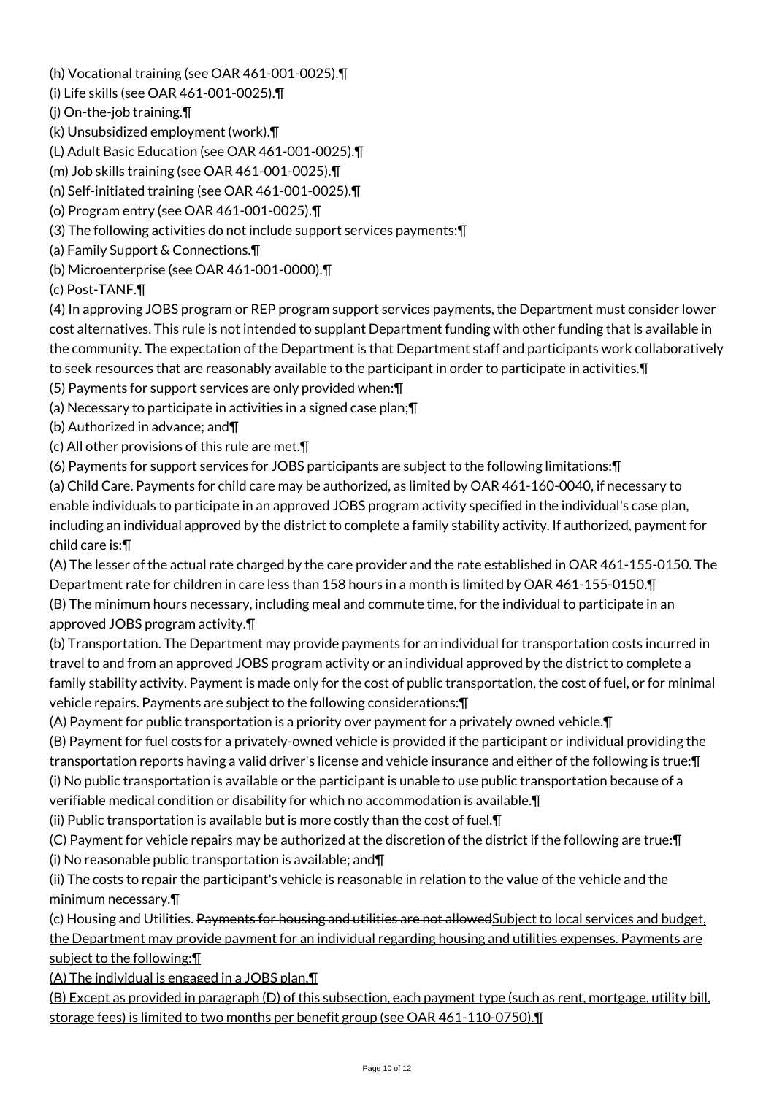(h) Vocational training (see OAR 461-001-0025).¶

(i) Life skills (see OAR 461-001-0025).¶

(j) On-the-job training.¶

(k) Unsubsidized employment (work).¶

(L) Adult Basic Education (see OAR 461-001-0025).¶

(m) Job skills training (see OAR 461-001-0025).¶

(n) Self-initiated training (see OAR 461-001-0025).¶

(o) Program entry (see OAR 461-001-0025).¶

(3) The following activities do not include support services payments:¶

(a) Family Support & Connections.¶

(b) Microenterprise (see OAR 461-001-0000).¶

(c) Post-TANF.¶

(4) In approving JOBS program or REP program support services payments, the Department must consider lower cost alternatives. This rule is not intended to supplant Department funding with other funding that is available in the community. The expectation of the Department is that Department staff and participants work collaboratively to seek resources that are reasonably available to the participant in order to participate in activities.¶

(5) Payments for support services are only provided when:¶

(a) Necessary to participate in activities in a signed case plan;¶

(b) Authorized in advance; and¶

(c) All other provisions of this rule are met.¶

(6) Payments for support services for JOBS participants are subject to the following limitations:¶

(a) Child Care. Payments for child care may be authorized, as limited by OAR 461-160-0040, if necessary to enable individuals to participate in an approved JOBS program activity specified in the individual's case plan, including an individual approved by the district to complete a family stability activity. If authorized, payment for child care is:¶

(A) The lesser of the actual rate charged by the care provider and the rate established in OAR 461-155-0150. The Department rate for children in care less than 158 hours in a month is limited by OAR 461-155-0150.¶ (B) The minimum hours necessary, including meal and commute time, for the individual to participate in an approved JOBS program activity.¶

(b) Transportation. The Department may provide payments for an individual for transportation costs incurred in travel to and from an approved JOBS program activity or an individual approved by the district to complete a family stability activity. Payment is made only for the cost of public transportation, the cost of fuel, or for minimal vehicle repairs. Payments are subject to the following considerations:¶

(A) Payment for public transportation is a priority over payment for a privately owned vehicle.¶

(B) Payment for fuel costs for a privately-owned vehicle is provided if the participant or individual providing the transportation reports having a valid driver's license and vehicle insurance and either of the following is true:¶ (i) No public transportation is available or the participant is unable to use public transportation because of a verifiable medical condition or disability for which no accommodation is available.¶

(ii) Public transportation is available but is more costly than the cost of fuel.¶

(C) Payment for vehicle repairs may be authorized at the discretion of the district if the following are true:¶ (i) No reasonable public transportation is available; and¶

(ii) The costs to repair the participant's vehicle is reasonable in relation to the value of the vehicle and the minimum necessary.¶

(c) Housing and Utilities. Payments for housing and utilities are not allowed Subject to local services and budget, the Department may provide payment for an individual regarding housing and utilities expenses. Payments are subject to the following: II

(A) The individual is engaged in a JOBS plan.¶

(B) Except as provided in paragraph (D) of this subsection, each payment type (such as rent, mortgage, utility bill, storage fees) is limited to two months per benefit group (see OAR 461-110-0750).¶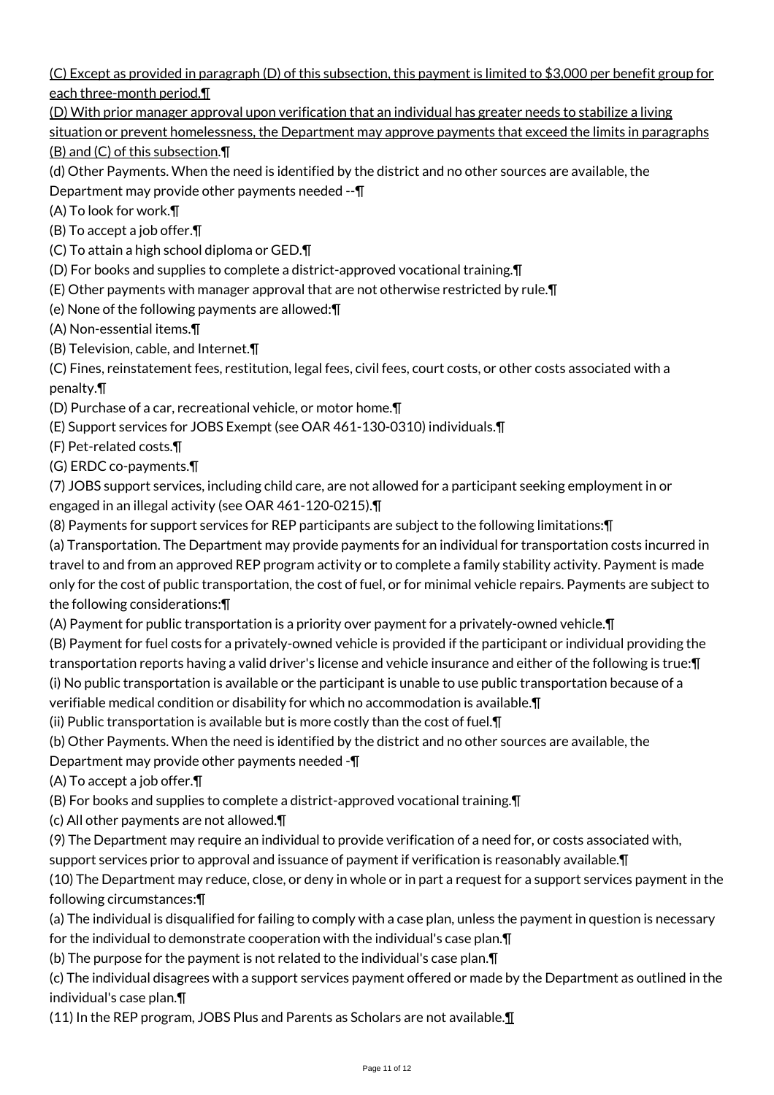(C) Except as provided in paragraph (D) of this subsection, this payment is limited to \$3,000 per benefit group for each three-month period.¶

(D) With prior manager approval upon verification that an individual has greater needs to stabilize a living

situation or prevent homelessness, the Department may approve payments that exceed the limits in paragraphs (B) and (C) of this subsection.¶

(d) Other Payments. When the need is identified by the district and no other sources are available, the

Department may provide other payments needed --¶

(A) To look for work.¶

(B) To accept a job offer.¶

(C) To attain a high school diploma or GED.¶

(D) For books and supplies to complete a district-approved vocational training.¶

(E) Other payments with manager approval that are not otherwise restricted by rule.¶

(e) None of the following payments are allowed:¶

(A) Non-essential items.¶

(B) Television, cable, and Internet.¶

(C) Fines, reinstatement fees, restitution, legal fees, civil fees, court costs, or other costs associated with a penalty.¶

(D) Purchase of a car, recreational vehicle, or motor home.¶

(E) Support services for JOBS Exempt (see OAR 461-130-0310) individuals.¶

(F) Pet-related costs.¶

(G) ERDC co-payments.¶

(7) JOBS support services, including child care, are not allowed for a participant seeking employment in or engaged in an illegal activity (see OAR 461-120-0215).¶

(8) Payments for support services for REP participants are subject to the following limitations:¶

(a) Transportation. The Department may provide payments for an individual for transportation costs incurred in travel to and from an approved REP program activity or to complete a family stability activity. Payment is made only for the cost of public transportation, the cost of fuel, or for minimal vehicle repairs. Payments are subject to the following considerations:¶

(A) Payment for public transportation is a priority over payment for a privately-owned vehicle.¶

(B) Payment for fuel costs for a privately-owned vehicle is provided if the participant or individual providing the transportation reports having a valid driver's license and vehicle insurance and either of the following is true:¶ (i) No public transportation is available or the participant is unable to use public transportation because of a verifiable medical condition or disability for which no accommodation is available.¶

(ii) Public transportation is available but is more costly than the cost of fuel.¶

(b) Other Payments. When the need is identified by the district and no other sources are available, the

Department may provide other payments needed -¶

(A) To accept a job offer.¶

(B) For books and supplies to complete a district-approved vocational training.¶

(c) All other payments are not allowed.¶

(9) The Department may require an individual to provide verification of a need for, or costs associated with,

support services prior to approval and issuance of payment if verification is reasonably available. T

(10) The Department may reduce, close, or deny in whole or in part a request for a support services payment in the following circumstances:¶

(a) The individual is disqualified for failing to comply with a case plan, unless the payment in question is necessary for the individual to demonstrate cooperation with the individual's case plan.¶

(b) The purpose for the payment is not related to the individual's case plan.¶

(c) The individual disagrees with a support services payment offered or made by the Department as outlined in the individual's case plan.¶

(11) In the REP program, JOBS Plus and Parents as Scholars are not available.